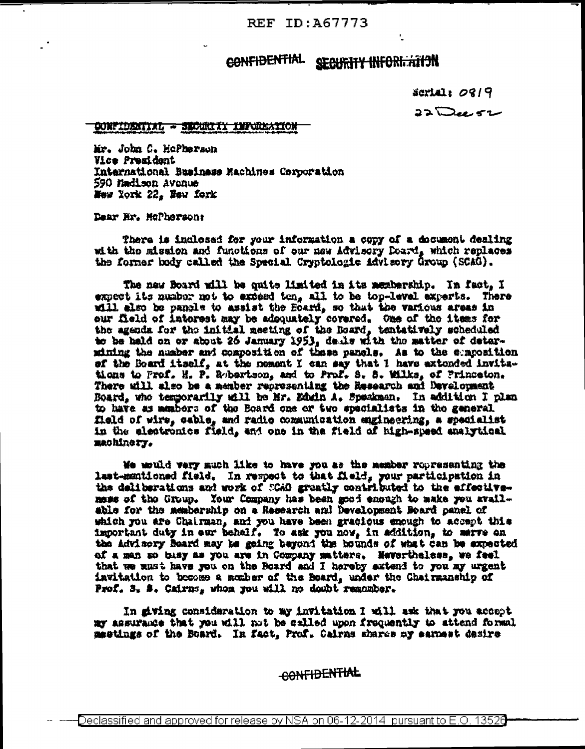REF ID: A67773

## CONFIDENTIAL SECURITY INFORMATION

 $$$  and  $19$ 

 $\overline{\mathfrak{so}}$ ee  $\overline{\mathfrak{so}}$ 

## CONFIDENTIAL - SECURITY INFORMATION

Mr. John C. HoPherson Vice President International Business Machines Corporation 590 Hadison Avenue New York 22, New York

Dear Hr. McPherson:

There is inclosed for your information a copy of a document dealing with the mission and functions of our new Advisory Doard, which replaces the former body called the Special Cryptologic Advisory Group (SCAG).

The new Board will be quite limited in its membership. In fact, I expect its number not to exceed ten, all to be top-level experts. There will also be pangle to assist the Board, so that the various areas in our field of interest may be adoquately covered. One of the items for the agenda for the initial meeting of the Board, tentatively scheduled to be held on or about 26 January 1953, delle with the matter of determining the number and composition of these panels. As to the sumposition of the Board itself, at the noment I can say that I have axtended invitations to Prof. H. P. Rebertson, and to Prof. S. S. Wilks, of Princeton. There Board, who temporarily will be Mr. Edwin A. Speakman. In addition I plan to have as members of the Board one or two specialists in the general field of wire, cable, and radio communication engineering, a specialist in the electronics field, and one in the field of high-speed analytical machinery.

We would very much like to have you as the member ropresenting the last-mentioned field. In respect to that field, your participation in the deliberations and work of SCAO greatly contributed to the effectivemess of the Group. Your Company has been good enough to make you avail-<br>able for the membership on a Research and Development Board panel of which you are Chairman, and you have been gracious enough to accept this important duty in our behalf. To ask you now, in addition, to marve on the Advisory Beard may be going beyond the bounds of what can be expected of a man so bisy as you are in Company matters. Hevertheless, we feel that we must have you on the Roard and I hereby extend to you my urgent invitation to become a member of the Board, under the Chairmanship of Prof. 3. 3. Cairns, whose you will no doubt remomber.

In siving consideration to my invitation I will ask that you accept my assurance that you will not he exlled upon frequently to attend formal meetings of the Board. In fact, Prof. Cairns shares my samest desire

CONFIDENTIAL